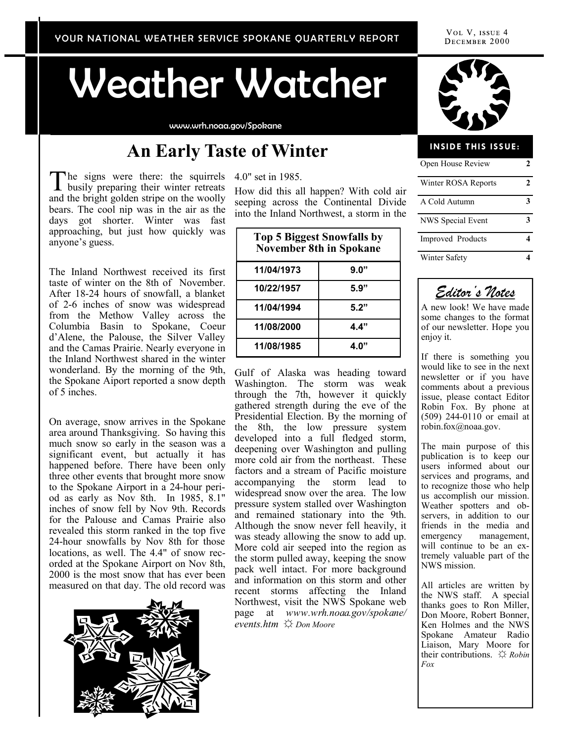Weather Watcher

www.wrh.noaa.gov/Spokane

### **An Early Taste of Winter**

he signs were there: the squirrels 4.0" set in 1985. The signs were there: the squirrels<br>busily preparing their winter retreats and the bright golden stripe on the woolly bears. The cool nip was in the air as the days got shorter. Winter was fast approaching, but just how quickly was anyone's guess.

The Inland Northwest received its first taste of winter on the 8th of November. After 18-24 hours of snowfall, a blanket of 2-6 inches of snow was widespread from the Methow Valley across the Columbia Basin to Spokane, Coeur d'Alene, the Palouse, the Silver Valley and the Camas Prairie. Nearly everyone in the Inland Northwest shared in the winter wonderland. By the morning of the 9th, the Spokane Aiport reported a snow depth of 5 inches.

On average, snow arrives in the Spokane area around Thanksgiving. So having this much snow so early in the season was a significant event, but actually it has happened before. There have been only three other events that brought more snow to the Spokane Airport in a 24-hour period as early as Nov 8th. In 1985, 8.1" inches of snow fell by Nov 9th. Records for the Palouse and Camas Prairie also revealed this storm ranked in the top five 24-hour snowfalls by Nov 8th for those locations, as well. The 4.4" of snow recorded at the Spokane Airport on Nov 8th, 2000 is the most snow that has ever been measured on that day. The old record was



How did this all happen? With cold air seeping across the Continental Divide into the Inland Northwest, a storm in the

| <b>Top 5 Biggest Snowfalls by</b><br><b>November 8th in Spokane</b> |      |
|---------------------------------------------------------------------|------|
| 11/04/1973                                                          | 9.0" |
| 10/22/1957                                                          | 5.9" |
| 11/04/1994                                                          | 5.2" |
| 11/08/2000                                                          | 4.4" |
| 11/08/1985                                                          | 4.0" |

Gulf of Alaska was heading toward Washington. The storm was weak through the 7th, however it quickly gathered strength during the eve of the Presidential Election. By the morning of the 8th, the low pressure system developed into a full fledged storm, deepening over Washington and pulling more cold air from the northeast. These factors and a stream of Pacific moisture accompanying the storm lead to widespread snow over the area. The low pressure system stalled over Washington and remained stationary into the 9th. Although the snow never fell heavily, it was steady allowing the snow to add up. More cold air seeped into the region as the storm pulled away, keeping the snow pack well intact. For more background and information on this storm and other recent storms affecting the Inland Northwest, visit the NWS Spokane web page at *www.wrh.noaa.gov/spokane/ events.htm* ☼ *Don Moore*



### Open House Review **2** Winter ROSA Reports **2** A Cold Autumn **3** NWS Special Event **3** Improved Products **4** Winter Safety **4 INSIDE THIS ISSUE:**



A new look! We have made some changes to the format of our newsletter. Hope you enjoy it.

If there is something you would like to see in the next newsletter or if you have comments about a previous issue, please contact Editor Robin Fox. By phone at (509) 244-0110 or email at robin.fox@noaa.gov.

The main purpose of this publication is to keep our users informed about our services and programs, and to recognize those who help us accomplish our mission. Weather spotters and observers, in addition to our friends in the media and emergency management, will continue to be an extremely valuable part of the NWS mission.

All articles are written by the NWS staff. A special thanks goes to Ron Miller, Don Moore, Robert Bonner, Ken Holmes and the NWS Spokane Amateur Radio Liaison, Mary Moore for their contributions. ☼ *Robin Fox*

VOL V, ISSUE 4 DECEMBER 2000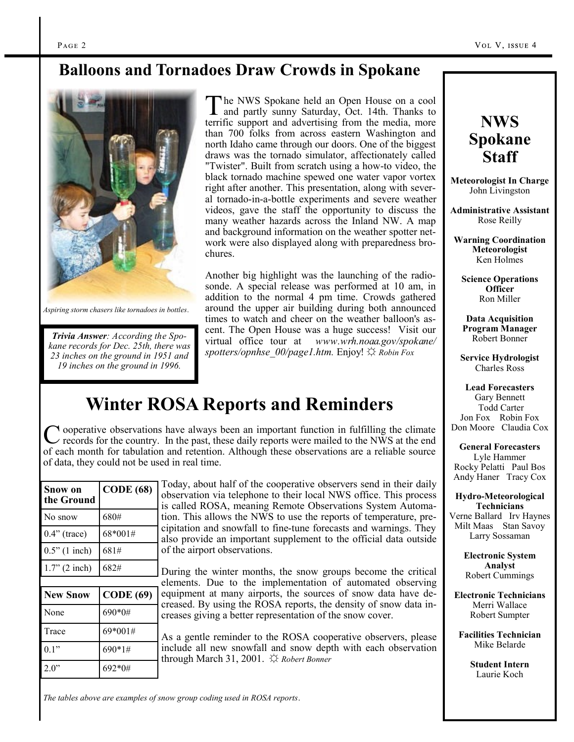### **Balloons and Tornadoes Draw Crowds in Spokane**



*Aspiring storm chasers like tornadoes in bottles*.

*Trivia Answer: According the Spokane records for Dec. 25th, there was 23 inches on the ground in 1951 and 19 inches on the ground in 1996.*

The NWS Spokane held an Open House on a cool<br>and partly sunny Saturday, Oct. 14th. Thanks to he NWS Spokane held an Open House on a cool terrific support and advertising from the media, more than 700 folks from across eastern Washington and north Idaho came through our doors. One of the biggest draws was the tornado simulator, affectionately called "Twister". Built from scratch using a how-to video, the black tornado machine spewed one water vapor vortex right after another. This presentation, along with several tornado-in-a-bottle experiments and severe weather videos, gave the staff the opportunity to discuss the many weather hazards across the Inland NW. A map and background information on the weather spotter network were also displayed along with preparedness brochures.

Another big highlight was the launching of the radiosonde. A special release was performed at 10 am, in addition to the normal 4 pm time. Crowds gathered around the upper air building during both announced times to watch and cheer on the weather balloon's ascent. The Open House was a huge success! Visit our virtual office tour at *www.wrh.noaa.gov/spokane/ spotters/opnhse\_00/page1.htm.* Enjoy! ☼ *Robin Fox* 

# **Winter ROSA Reports and Reminders**

C ooperative observations have always been an important function in fulfilling the climate<br>c records for the country. In the past, these daily reports were mailed to the NWS at the end records for the country. In the past, these daily reports were mailed to the NWS at the end of each month for tabulation and retention. Although these observations are a reliable source of data, they could not be used in real time.

| Snow on<br>the Ground | <b>CODE</b> (68) |
|-----------------------|------------------|
| No snow               | 680#             |
| $0.4$ " (trace)       | 68*001#          |
| $0.5"$ (1 inch)       | 681#             |
| $1.7$ " (2 inch)      | 682#             |
|                       |                  |
| <b>New Snow</b>       | <b>CODE</b> (69) |
| None                  | 690*0#           |
| Trace                 | 69*001#          |

 $0.1"$  690\*1#

 $2.0"$  692\*0#

Today, about half of the cooperative observers send in their daily observation via telephone to their local NWS office. This process is called ROSA, meaning Remote Observations System Automation. This allows the NWS to use the reports of temperature, precipitation and snowfall to fine-tune forecasts and warnings. They also provide an important supplement to the official data outside of the airport observations.

During the winter months, the snow groups become the critical elements. Due to the implementation of automated observing equipment at many airports, the sources of snow data have decreased. By using the ROSA reports, the density of snow data increases giving a better representation of the snow cover.

As a gentle reminder to the ROSA cooperative observers, please include all new snowfall and snow depth with each observation through March 31, 2001. *☼ Robert Bonner* 

*The tables above are examples of snow group coding used in ROSA reports*.

## **NWS Spokane Staff**

**Meteorologist In Charge** John Livingston

**Administrative Assistant** Rose Reilly

**Warning Coordination Meteorologist** Ken Holmes

**Science Operations Officer** Ron Miller

**Data Acquisition Program Manager** Robert Bonner

**Service Hydrologist** Charles Ross

**Lead Forecasters** Gary Bennett Todd Carter Jon Fox Robin Fox Don Moore Claudia Cox

**General Forecasters** Lyle Hammer Rocky Pelatti Paul Bos Andy Haner Tracy Cox

**Hydro-Meteorological Technicians**

Verne Ballard Irv Haynes Milt Maas Stan Savoy Larry Sossaman

> **Electronic System Analyst** Robert Cummings

**Electronic Technicians** Merri Wallace Robert Sumpter

**Facilities Technician** Mike Belarde

> **Student Intern** Laurie Koch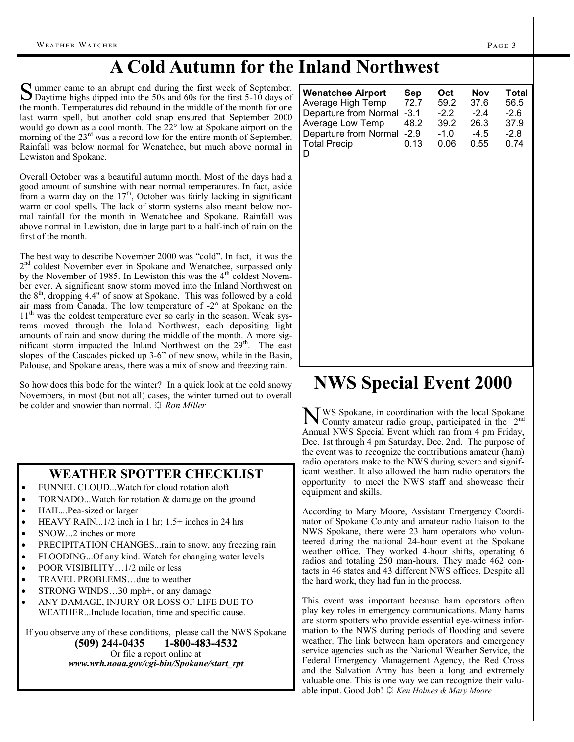# **A Cold Autumn for the Inland Northwest**

Summer came to an abrupt end during the first week of September.<br>Daytime highs dipped into the 50s and 60s for the first 5-10 days of ummer came to an abrupt end during the first week of September. the month. Temperatures did rebound in the middle of the month for one last warm spell, but another cold snap ensured that September 2000 would go down as a cool month. The 22° low at Spokane airport on the morning of the 23<sup>rd</sup> was a record low for the entire month of September. Rainfall was below normal for Wenatchee, but much above normal in Lewiston and Spokane.

Overall October was a beautiful autumn month. Most of the days had a good amount of sunshine with near normal temperatures. In fact, aside from a warm day on the  $17<sup>th</sup>$ , October was fairly lacking in significant warm or cool spells. The lack of storm systems also meant below normal rainfall for the month in Wenatchee and Spokane. Rainfall was above normal in Lewiston, due in large part to a half-inch of rain on the first of the month.

The best way to describe November 2000 was "cold". In fact, it was the 2<sup>nd</sup> coldest November ever in Spokane and Wenatchee, surpassed only by the November of 1985. In Lewiston this was the 4<sup>th</sup> coldest November ever. A significant snow storm moved into the Inland Northwest on the  $8<sup>th</sup>$ , dropping 4.4" of snow at Spokane. This was followed by a cold air mass from Canada. The low temperature of -2° at Spokane on the 11<sup>th</sup> was the coldest temperature ever so early in the season. Weak systems moved through the Inland Northwest, each depositing light amounts of rain and snow during the middle of the month. A more significant storm impacted the Inland Northwest on the 29<sup>th</sup>. The east slopes of the Cascades picked up 3-6" of new snow, while in the Basin, Palouse, and Spokane areas, there was a mix of snow and freezing rain.

So how does this bode for the winter? In a quick look at the cold snowy Novembers, in most (but not all) cases, the winter turned out to overall be colder and snowier than normal. *☼ Ron Miller*

#### **WEATHER SPOTTER CHECKLIST**

- FUNNEL CLOUD...Watch for cloud rotation aloft
- TORNADO...Watch for rotation & damage on the ground
- HAIL...Pea-sized or larger
- HEAVY RAIN...1/2 inch in 1 hr; 1.5+ inches in 24 hrs
- SNOW...2 inches or more
- PRECIPITATION CHANGES...rain to snow, any freezing rain
- FLOODING...Of any kind. Watch for changing water levels
- POOR VISIBILITY…1/2 mile or less
- TRAVEL PROBLEMS…due to weather
- STRONG WINDS…30 mph+, or any damage
- ANY DAMAGE, INJURY OR LOSS OF LIFE DUE TO WEATHER...Include location, time and specific cause.

If you observe any of these conditions, please call the NWS Spokane **(509) 244-0435 1-800-483-4532** Or file a report online at *www.wrh.noaa.gov/cgi-bin/Spokane/start\_rpt*

# **NWS Special Event 2000**

N WS Spokane, in coordination with the local Spokane<br>County amateur radio group, participated in the 2<sup>nd</sup> County amateur radio group, participated in the 2nd Annual NWS Special Event which ran from 4 pm Friday, Dec. 1st through 4 pm Saturday, Dec. 2nd. The purpose of the event was to recognize the contributions amateur (ham) radio operators make to the NWS during severe and significant weather. It also allowed the ham radio operators the opportunity to meet the NWS staff and showcase their equipment and skills.

According to Mary Moore, Assistant Emergency Coordinator of Spokane County and amateur radio liaison to the NWS Spokane, there were 23 ham operators who volunteered during the national 24-hour event at the Spokane weather office. They worked 4-hour shifts, operating 6 radios and totaling 250 man-hours. They made 462 contacts in 46 states and 43 different NWS offices. Despite all the hard work, they had fun in the process.

This event was important because ham operators often play key roles in emergency communications. Many hams are storm spotters who provide essential eye-witness information to the NWS during periods of flooding and severe weather. The link between ham operators and emergency service agencies such as the National Weather Service, the Federal Emergency Management Agency, the Red Cross and the Salvation Army has been a long and extremely valuable one. This is one way we can recognize their valuable input. Good Job! ☼ *Ken Holmes & Mary Moore*